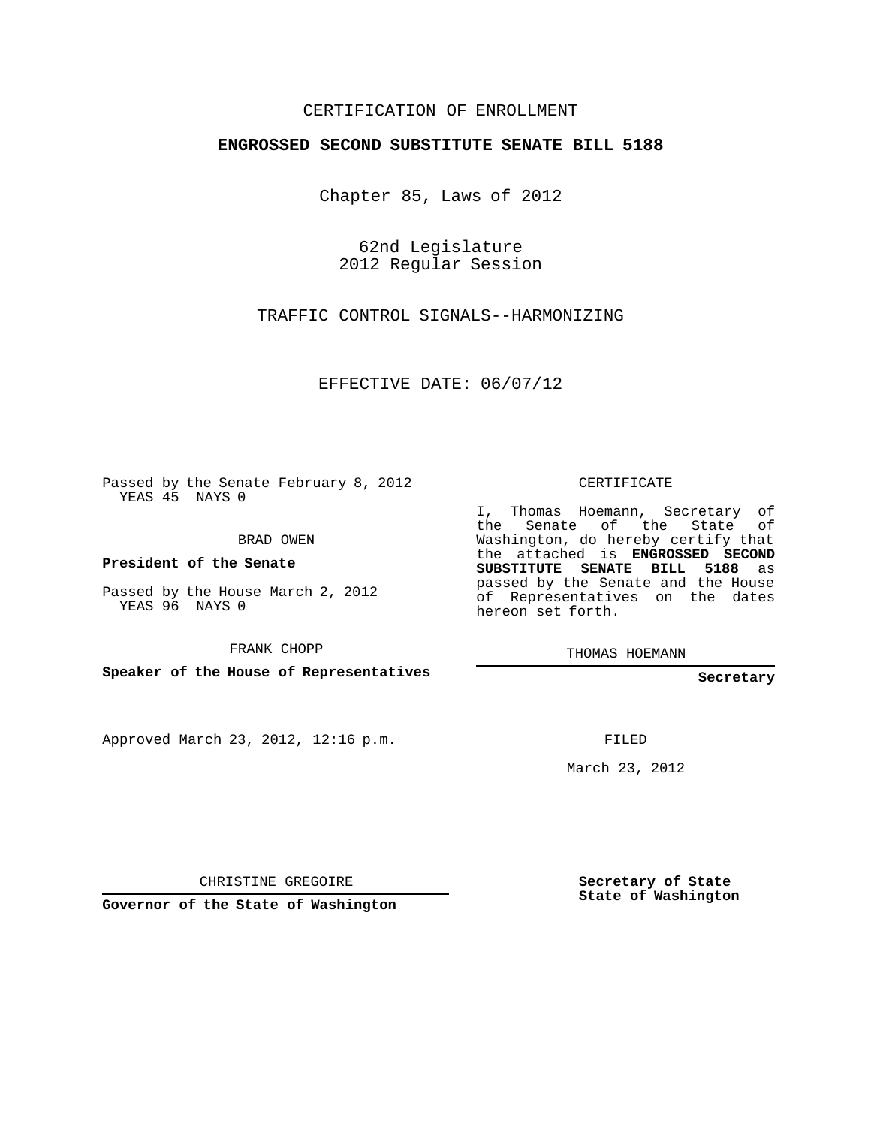## CERTIFICATION OF ENROLLMENT

## **ENGROSSED SECOND SUBSTITUTE SENATE BILL 5188**

Chapter 85, Laws of 2012

62nd Legislature 2012 Regular Session

TRAFFIC CONTROL SIGNALS--HARMONIZING

EFFECTIVE DATE: 06/07/12

Passed by the Senate February 8, 2012 YEAS 45 NAYS 0

BRAD OWEN

**President of the Senate**

Passed by the House March 2, 2012 YEAS 96 NAYS 0

FRANK CHOPP

**Speaker of the House of Representatives**

Approved March 23, 2012, 12:16 p.m.

CERTIFICATE

I, Thomas Hoemann, Secretary of the Senate of the State of Washington, do hereby certify that the attached is **ENGROSSED SECOND SUBSTITUTE SENATE BILL 5188** as passed by the Senate and the House of Representatives on the dates hereon set forth.

THOMAS HOEMANN

**Secretary**

FILED

March 23, 2012

CHRISTINE GREGOIRE

**Governor of the State of Washington**

**Secretary of State State of Washington**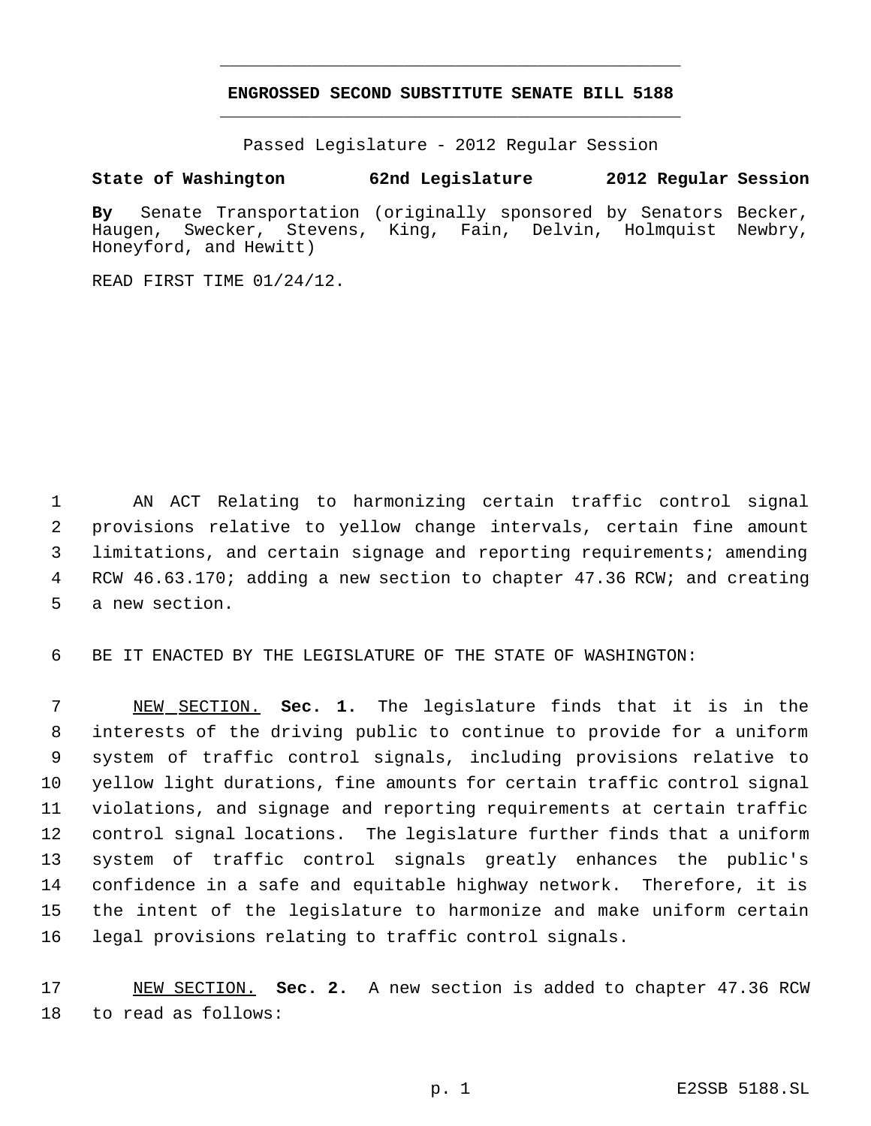## **ENGROSSED SECOND SUBSTITUTE SENATE BILL 5188** \_\_\_\_\_\_\_\_\_\_\_\_\_\_\_\_\_\_\_\_\_\_\_\_\_\_\_\_\_\_\_\_\_\_\_\_\_\_\_\_\_\_\_\_\_

\_\_\_\_\_\_\_\_\_\_\_\_\_\_\_\_\_\_\_\_\_\_\_\_\_\_\_\_\_\_\_\_\_\_\_\_\_\_\_\_\_\_\_\_\_

Passed Legislature - 2012 Regular Session

## **State of Washington 62nd Legislature 2012 Regular Session**

**By** Senate Transportation (originally sponsored by Senators Becker, Haugen, Swecker, Stevens, King, Fain, Delvin, Holmquist Newbry, Honeyford, and Hewitt)

READ FIRST TIME 01/24/12.

 AN ACT Relating to harmonizing certain traffic control signal provisions relative to yellow change intervals, certain fine amount limitations, and certain signage and reporting requirements; amending RCW 46.63.170; adding a new section to chapter 47.36 RCW; and creating a new section.

BE IT ENACTED BY THE LEGISLATURE OF THE STATE OF WASHINGTON:

 NEW SECTION. **Sec. 1.** The legislature finds that it is in the interests of the driving public to continue to provide for a uniform system of traffic control signals, including provisions relative to yellow light durations, fine amounts for certain traffic control signal violations, and signage and reporting requirements at certain traffic control signal locations. The legislature further finds that a uniform system of traffic control signals greatly enhances the public's confidence in a safe and equitable highway network. Therefore, it is the intent of the legislature to harmonize and make uniform certain legal provisions relating to traffic control signals.

 NEW SECTION. **Sec. 2.** A new section is added to chapter 47.36 RCW to read as follows: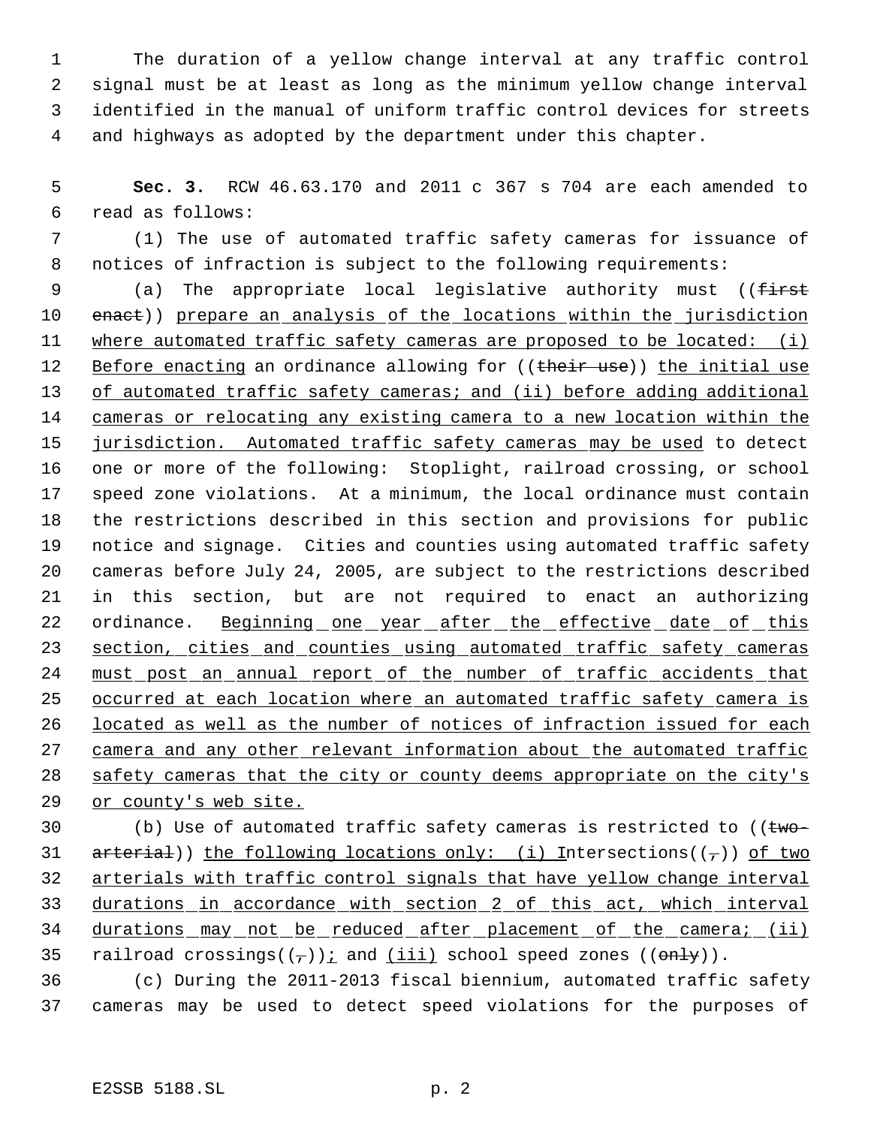The duration of a yellow change interval at any traffic control signal must be at least as long as the minimum yellow change interval identified in the manual of uniform traffic control devices for streets and highways as adopted by the department under this chapter.

 **Sec. 3.** RCW 46.63.170 and 2011 c 367 s 704 are each amended to read as follows:

 (1) The use of automated traffic safety cameras for issuance of notices of infraction is subject to the following requirements:

9 (a) The appropriate local legislative authority must ((first 10 enact)) prepare an analysis of the locations within the jurisdiction 11 where automated traffic safety cameras are proposed to be located: (i) 12 Before enacting an ordinance allowing for ((their use)) the initial use of automated traffic safety cameras; and (ii) before adding additional cameras or relocating any existing camera to a new location within the 15 jurisdiction. Automated traffic safety cameras may be used to detect one or more of the following: Stoplight, railroad crossing, or school speed zone violations. At a minimum, the local ordinance must contain the restrictions described in this section and provisions for public notice and signage. Cities and counties using automated traffic safety cameras before July 24, 2005, are subject to the restrictions described in this section, but are not required to enact an authorizing 22 ordinance. Beginning one year after the effective date of this 23 section, cities and counties using automated traffic safety cameras must post an annual report of the number of traffic accidents that 25 occurred at each location where an automated traffic safety camera is located as well as the number of notices of infraction issued for each 27 camera and any other relevant information about the automated traffic safety cameras that the city or county deems appropriate on the city's or county's web site.

 $\qquad$  (b) Use of automated traffic safety cameras is restricted to (( $t$ wo- $\ar{t}$  arterial)) the following locations only: (i) Intersections(( $\tau$ )) of two arterials with traffic control signals that have yellow change interval durations in accordance with section 2 of this act, which interval 34 durations may not be reduced after placement of the camera; (ii) 35 railroad crossings( $(\tau)$ ); and (iii) school speed zones ( $(\theta n \frac{1}{y})$ ).

 (c) During the 2011-2013 fiscal biennium, automated traffic safety cameras may be used to detect speed violations for the purposes of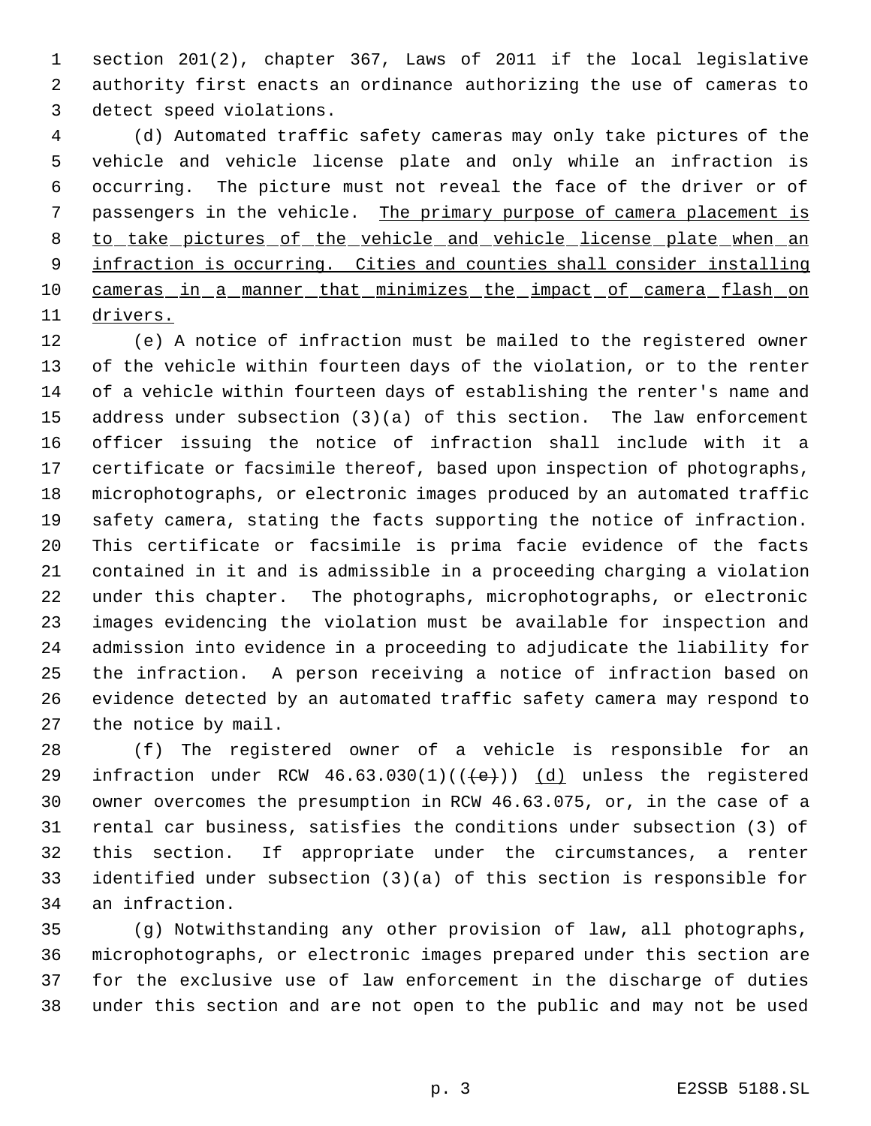section 201(2), chapter 367, Laws of 2011 if the local legislative authority first enacts an ordinance authorizing the use of cameras to detect speed violations.

 (d) Automated traffic safety cameras may only take pictures of the vehicle and vehicle license plate and only while an infraction is occurring. The picture must not reveal the face of the driver or of 7 passengers in the vehicle. The primary purpose of camera placement is to take pictures of the vehicle and vehicle license plate when an infraction is occurring. Cities and counties shall consider installing 10 cameras in a manner that minimizes the impact of camera flash on drivers.

 (e) A notice of infraction must be mailed to the registered owner of the vehicle within fourteen days of the violation, or to the renter of a vehicle within fourteen days of establishing the renter's name and address under subsection (3)(a) of this section. The law enforcement officer issuing the notice of infraction shall include with it a certificate or facsimile thereof, based upon inspection of photographs, microphotographs, or electronic images produced by an automated traffic safety camera, stating the facts supporting the notice of infraction. This certificate or facsimile is prima facie evidence of the facts contained in it and is admissible in a proceeding charging a violation under this chapter. The photographs, microphotographs, or electronic images evidencing the violation must be available for inspection and admission into evidence in a proceeding to adjudicate the liability for the infraction. A person receiving a notice of infraction based on evidence detected by an automated traffic safety camera may respond to the notice by mail.

 (f) The registered owner of a vehicle is responsible for an 29 infraction under RCW  $46.63.030(1)((\{e\}))$   $(d)$  unless the registered owner overcomes the presumption in RCW 46.63.075, or, in the case of a rental car business, satisfies the conditions under subsection (3) of this section. If appropriate under the circumstances, a renter identified under subsection (3)(a) of this section is responsible for an infraction.

 (g) Notwithstanding any other provision of law, all photographs, microphotographs, or electronic images prepared under this section are for the exclusive use of law enforcement in the discharge of duties under this section and are not open to the public and may not be used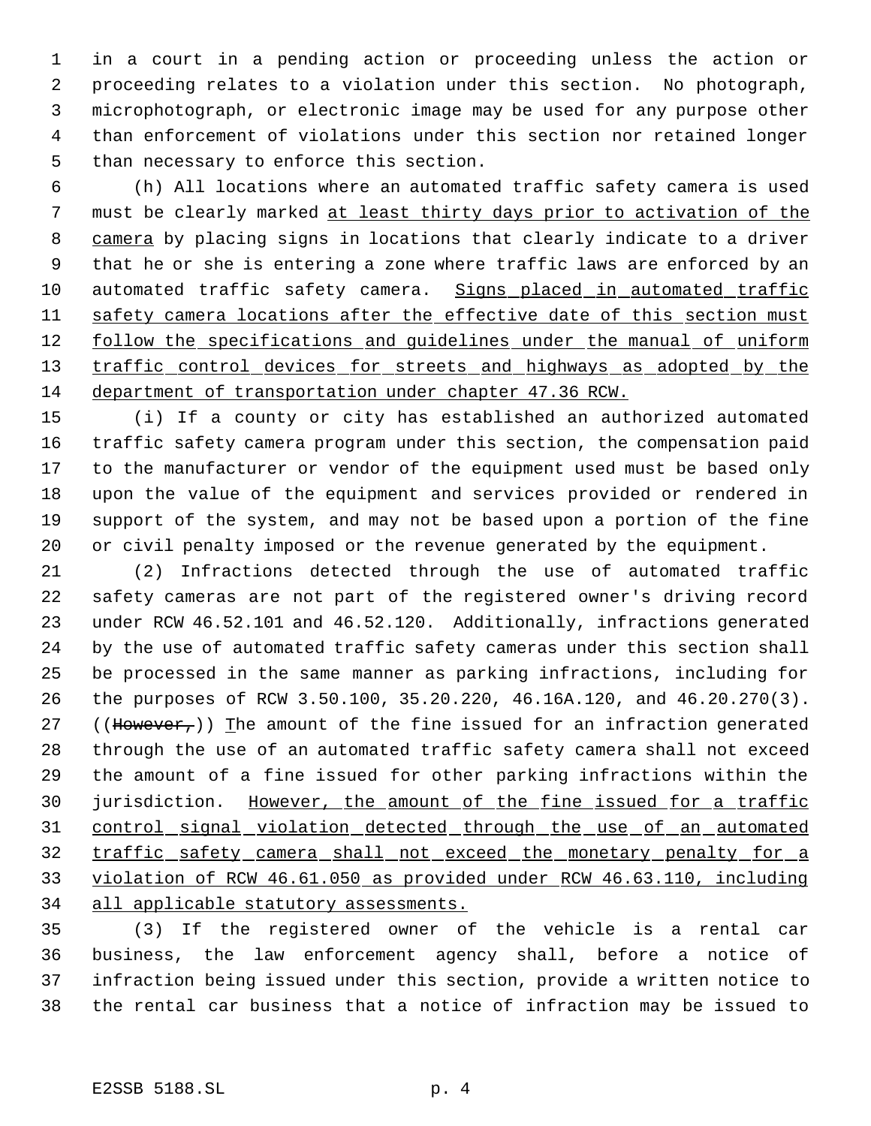in a court in a pending action or proceeding unless the action or proceeding relates to a violation under this section. No photograph, microphotograph, or electronic image may be used for any purpose other than enforcement of violations under this section nor retained longer than necessary to enforce this section.

 (h) All locations where an automated traffic safety camera is used must be clearly marked at least thirty days prior to activation of the camera by placing signs in locations that clearly indicate to a driver that he or she is entering a zone where traffic laws are enforced by an automated traffic safety camera. Signs placed in automated traffic safety camera locations after the effective date of this section must 12 follow the specifications and guidelines under the manual of uniform 13 traffic control devices for streets and highways as adopted by the department of transportation under chapter 47.36 RCW.

 (i) If a county or city has established an authorized automated traffic safety camera program under this section, the compensation paid to the manufacturer or vendor of the equipment used must be based only upon the value of the equipment and services provided or rendered in support of the system, and may not be based upon a portion of the fine or civil penalty imposed or the revenue generated by the equipment.

 (2) Infractions detected through the use of automated traffic safety cameras are not part of the registered owner's driving record under RCW 46.52.101 and 46.52.120. Additionally, infractions generated by the use of automated traffic safety cameras under this section shall be processed in the same manner as parking infractions, including for the purposes of RCW 3.50.100, 35.20.220, 46.16A.120, and 46.20.270(3). 27 ((However,)) The amount of the fine issued for an infraction generated through the use of an automated traffic safety camera shall not exceed the amount of a fine issued for other parking infractions within the 30 jurisdiction. However, the amount of the fine issued for a traffic control signal violation detected through the use of an automated 32 traffic safety camera shall not exceed the monetary penalty for a violation of RCW 46.61.050 as provided under RCW 46.63.110, including all applicable statutory assessments.

 (3) If the registered owner of the vehicle is a rental car business, the law enforcement agency shall, before a notice of infraction being issued under this section, provide a written notice to the rental car business that a notice of infraction may be issued to